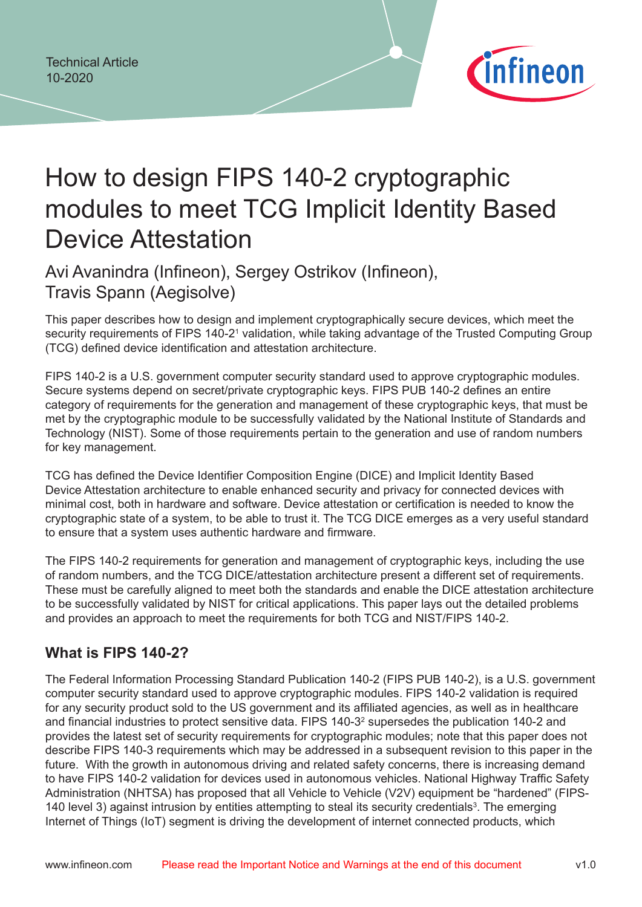

# How to design FIPS 140-2 cryptographic modules to meet TCG Implicit Identity Based Device Attestation

Avi Avanindra (Infineon), Sergey Ostrikov (Infineon), Travis Spann (Aegisolve)

This paper describes how to design and implement cryptographically secure devices, which meet the security requirements of FIPS 140-2<sup>1</sup> validation, while taking advantage of the Trusted Computing Group (TCG) defined device identification and attestation architecture.

FIPS 140-2 is a U.S. government computer security standard used to approve cryptographic modules. Secure systems depend on secret/private cryptographic keys. FIPS PUB 140-2 defines an entire category of requirements for the generation and management of these cryptographic keys, that must be met by the cryptographic module to be successfully validated by the National Institute of Standards and Technology (NIST). Some of those requirements pertain to the generation and use of random numbers for key management.

TCG has defined the Device Identifier Composition Engine (DICE) and Implicit Identity Based Device Attestation architecture to enable enhanced security and privacy for connected devices with minimal cost, both in hardware and software. Device attestation or certification is needed to know the cryptographic state of a system, to be able to trust it. The TCG DICE emerges as a very useful standard to ensure that a system uses authentic hardware and firmware.

The FIPS 140-2 requirements for generation and management of cryptographic keys, including the use of random numbers, and the TCG DICE/attestation architecture present a different set of requirements. These must be carefully aligned to meet both the standards and enable the DICE attestation architecture to be successfully validated by NIST for critical applications. This paper lays out the detailed problems and provides an approach to meet the requirements for both TCG and NIST/FIPS 140-2.

### **What is FIPS 140-2?**

The Federal Information Processing Standard Publication 140-2 (FIPS PUB 140-2), is a U.S. government computer security standard used to approve cryptographic modules. FIPS 140-2 validation is required for any security product sold to the US government and its affiliated agencies, as well as in healthcare and financial industries to protect sensitive data. FIPS 140-3<sup>2</sup> supersedes the publication 140-2 and provides the latest set of security requirements for cryptographic modules; note that this paper does not describe FIPS 140-3 requirements which may be addressed in a subsequent revision to this paper in the future. With the growth in autonomous driving and related safety concerns, there is increasing demand to have FIPS 140-2 validation for devices used in autonomous vehicles. National Highway Traffic Safety Administration (NHTSA) has proposed that all Vehicle to Vehicle (V2V) equipment be "hardened" (FIPS-140 level 3) against intrusion by entities attempting to steal its security credentials<sup>3</sup>. The emerging Internet of Things (IoT) segment is driving the development of internet connected products, which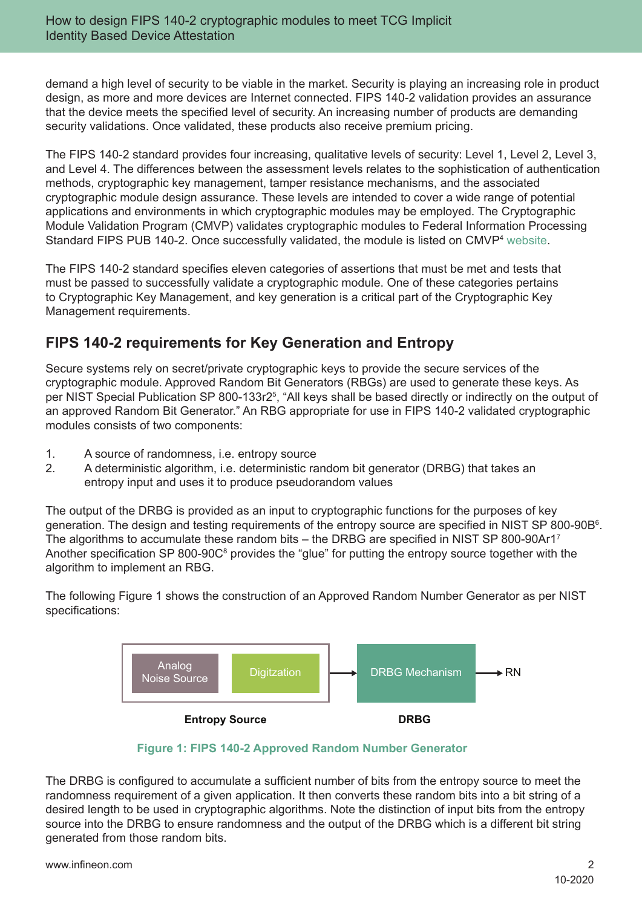demand a high level of security to be viable in the market. Security is playing an increasing role in product design, as more and more devices are Internet connected. FIPS 140-2 validation provides an assurance that the device meets the specified level of security. An increasing number of products are demanding security validations. Once validated, these products also receive premium pricing.

The FIPS 140-2 standard provides four increasing, qualitative levels of security: Level 1, Level 2, Level 3, and Level 4. The differences between the assessment levels relates to the sophistication of authentication methods, cryptographic key management, tamper resistance mechanisms, and the associated cryptographic module design assurance. These levels are intended to cover a wide range of potential applications and environments in which cryptographic modules may be employed. The Cryptographic Module Validation Program (CMVP) validates cryptographic modules to Federal Information Processing Standard FIPS PUB 140-2. Once successfully validated, the module is listed on CMVP<sup>4</sup> website.

The FIPS 140-2 standard specifies eleven categories of assertions that must be met and tests that must be passed to successfully validate a cryptographic module. One of these categories pertains to Cryptographic Key Management, and key generation is a critical part of the Cryptographic Key Management requirements.

# **FIPS 140-2 requirements for Key Generation and Entropy**

Secure systems rely on secret/private cryptographic keys to provide the secure services of the cryptographic module. Approved Random Bit Generators (RBGs) are used to generate these keys. As per NIST Special Publication SP 800-133r2<sup>5</sup> , "All keys shall be based directly or indirectly on the output of an approved Random Bit Generator." An RBG appropriate for use in FIPS 140-2 validated cryptographic modules consists of two components:

- 1. A source of randomness, i.e. entropy source
- 2. A deterministic algorithm, i.e. deterministic random bit generator (DRBG) that takes an entropy input and uses it to produce pseudorandom values

The output of the DRBG is provided as an input to cryptographic functions for the purposes of key generation. The design and testing requirements of the entropy source are specified in NIST SP 800-90B<sup>6</sup>. The algorithms to accumulate these random bits – the DRBG are specified in NIST SP 800-90Ar1<sup>7</sup> Another specification SP 800-90C<sup>8</sup> provides the "glue" for putting the entropy source together with the algorithm to implement an RBG.

The following Figure 1 shows the construction of an Approved Random Number Generator as per NIST specifications:





The DRBG is configured to accumulate a sufficient number of bits from the entropy source to meet the randomness requirement of a given application. It then converts these random bits into a bit string of a desired length to be used in cryptographic algorithms. Note the distinction of input bits from the entropy source into the DRBG to ensure randomness and the output of the DRBG which is a different bit string generated from those random bits.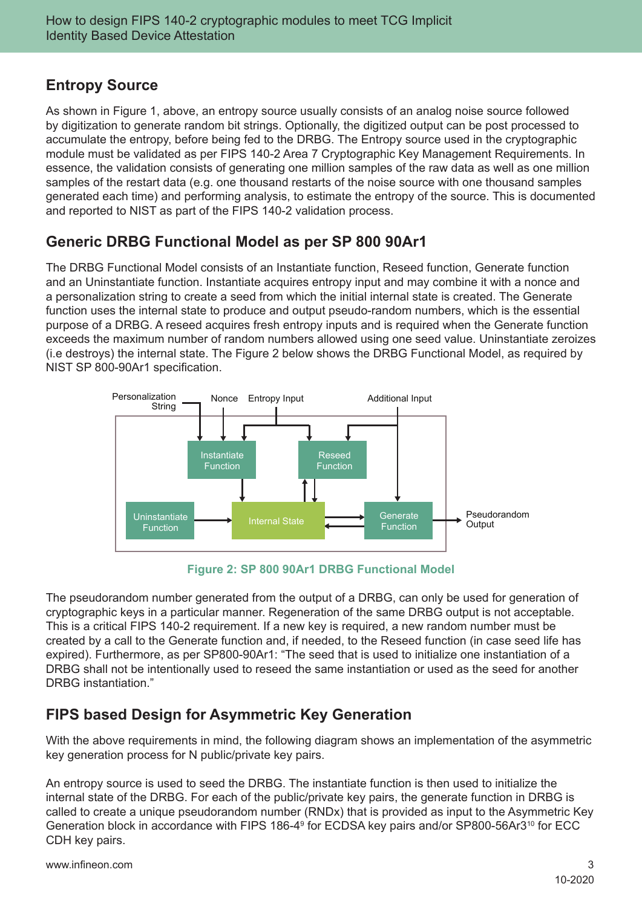# **Entropy Source**

As shown in Figure 1, above, an entropy source usually consists of an analog noise source followed by digitization to generate random bit strings. Optionally, the digitized output can be post processed to accumulate the entropy, before being fed to the DRBG. The Entropy source used in the cryptographic module must be validated as per FIPS 140-2 Area 7 Cryptographic Key Management Requirements. In essence, the validation consists of generating one million samples of the raw data as well as one million samples of the restart data (e.g. one thousand restarts of the noise source with one thousand samples generated each time) and performing analysis, to estimate the entropy of the source. This is documented and reported to NIST as part of the FIPS 140-2 validation process.

# **Generic DRBG Functional Model as per SP 800 90Ar1**

The DRBG Functional Model consists of an Instantiate function, Reseed function, Generate function and an Uninstantiate function. Instantiate acquires entropy input and may combine it with a nonce and a personalization string to create a seed from which the initial internal state is created. The Generate function uses the internal state to produce and output pseudo-random numbers, which is the essential purpose of a DRBG. A reseed acquires fresh entropy inputs and is required when the Generate function exceeds the maximum number of random numbers allowed using one seed value. Uninstantiate zeroizes (i.e destroys) the internal state. The Figure 2 below shows the DRBG Functional Model, as required by NIST SP 800-90Ar1 specification.



**Figure 2: SP 800 90Ar1 DRBG Functional Model**

The pseudorandom number generated from the output of a DRBG, can only be used for generation of cryptographic keys in a particular manner. Regeneration of the same DRBG output is not acceptable. This is a critical FIPS 140-2 requirement. If a new key is required, a new random number must be created by a call to the Generate function and, if needed, to the Reseed function (in case seed life has expired). Furthermore, as per SP800-90Ar1: "The seed that is used to initialize one instantiation of a DRBG shall not be intentionally used to reseed the same instantiation or used as the seed for another DRBG instantiation."

# **FIPS based Design for Asymmetric Key Generation**

With the above requirements in mind, the following diagram shows an implementation of the asymmetric key generation process for N public/private key pairs.

An entropy source is used to seed the DRBG. The instantiate function is then used to initialize the internal state of the DRBG. For each of the public/private key pairs, the generate function in DRBG is called to create a unique pseudorandom number (RNDx) that is provided as input to the Asymmetric Key Generation block in accordance with FIPS 186-4<sup>9</sup> for ECDSA key pairs and/or SP800-56Ar3<sup>10</sup> for ECC CDH key pairs.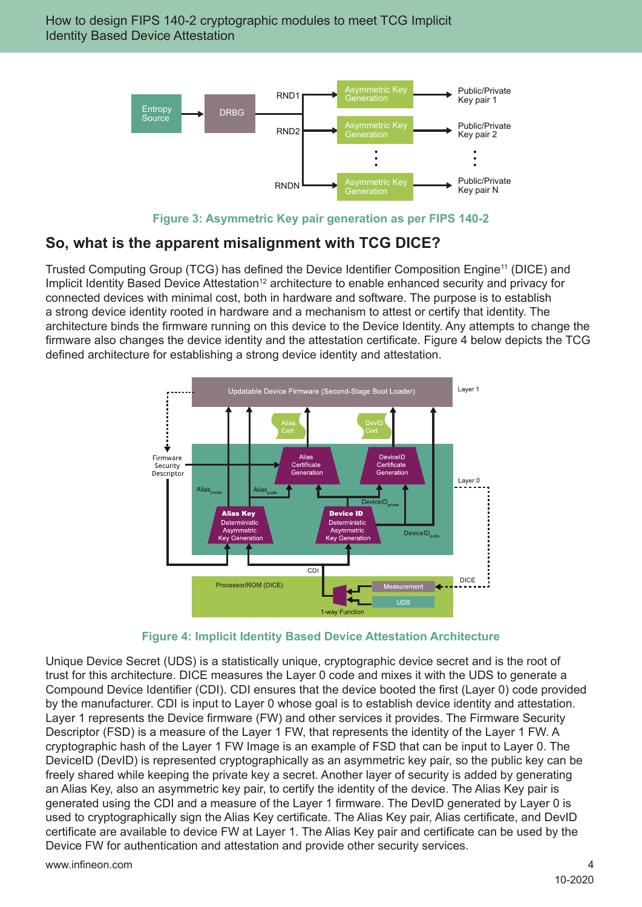

**Figure 3: Asymmetric Key pair generation as per FIPS 140-2**

# **So, what is the apparent misalignment with TCG DICE?**

Trusted Computing Group (TCG) has defined the Device Identifier Composition Engine<sup>11</sup> (DICE) and Implicit Identity Based Device Attestation<sup>12</sup> architecture to enable enhanced security and privacy for connected devices with minimal cost, both in hardware and software. The purpose is to establish a strong device identity rooted in hardware and a mechanism to attest or certify that identity. The architecture binds the firmware running on this device to the Device Identity. Any attempts to change the firmware also changes the device identity and the attestation certificate. Figure 4 below depicts the TCG defined architecture for establishing a strong device identity and attestation.



**Figure 4: Implicit Identity Based Device Attestation Architecture**

Unique Device Secret (UDS) is a statistically unique, cryptographic device secret and is the root of trust for this architecture. DICE measures the Layer 0 code and mixes it with the UDS to generate a Compound Device Identifier (CDI). CDI ensures that the device booted the first (Layer 0) code provided by the manufacturer. CDI is input to Layer 0 whose goal is to establish device identity and attestation. Layer 1 represents the Device firmware (FW) and other services it provides. The Firmware Security Descriptor (FSD) is a measure of the Layer 1 FW, that represents the identity of the Layer 1 FW. A cryptographic hash of the Layer 1 FW Image is an example of FSD that can be input to Layer 0. The DeviceID (DevID) is represented cryptographically as an asymmetric key pair, so the public key can be freely shared while keeping the private key a secret. Another layer of security is added by generating an Alias Key, also an asymmetric key pair, to certify the identity of the device. The Alias Key pair is generated using the CDI and a measure of the Layer 1 firmware. The DevID generated by Layer 0 is used to cryptographically sign the Alias Key certificate. The Alias Key pair, Alias certificate, and DevID certificate are available to device FW at Layer 1. The Alias Key pair and certificate can be used by the Device FW for authentication and attestation and provide other security services.

www.infineon.com 4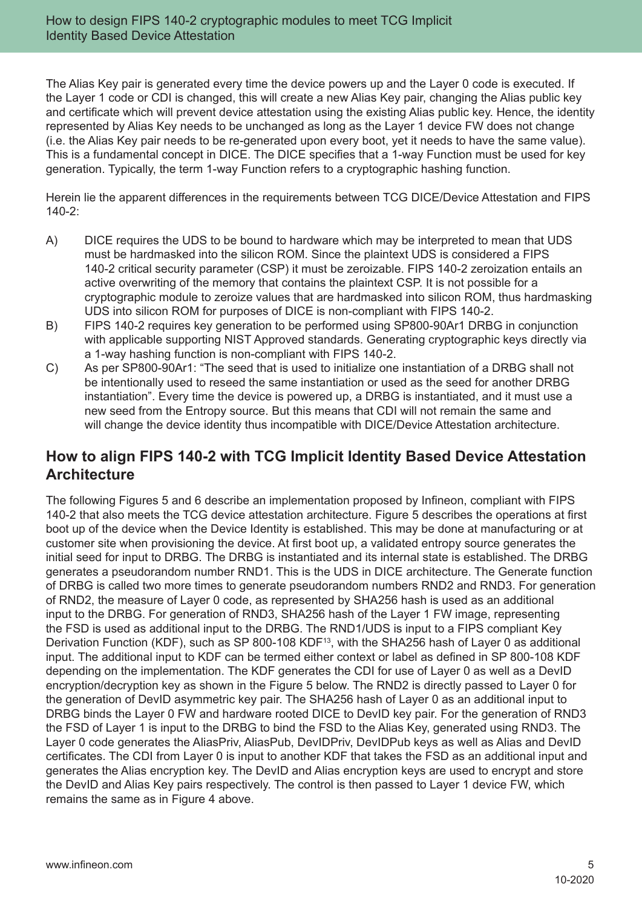The Alias Key pair is generated every time the device powers up and the Layer 0 code is executed. If the Layer 1 code or CDI is changed, this will create a new Alias Key pair, changing the Alias public key and certificate which will prevent device attestation using the existing Alias public key. Hence, the identity represented by Alias Key needs to be unchanged as long as the Layer 1 device FW does not change (i.e. the Alias Key pair needs to be re-generated upon every boot, yet it needs to have the same value). This is a fundamental concept in DICE. The DICE specifies that a 1-way Function must be used for key generation. Typically, the term 1-way Function refers to a cryptographic hashing function.

Herein lie the apparent differences in the requirements between TCG DICE/Device Attestation and FIPS 140-2:

- A) DICE requires the UDS to be bound to hardware which may be interpreted to mean that UDS must be hardmasked into the silicon ROM. Since the plaintext UDS is considered a FIPS 140-2 critical security parameter (CSP) it must be zeroizable. FIPS 140-2 zeroization entails an active overwriting of the memory that contains the plaintext CSP. It is not possible for a cryptographic module to zeroize values that are hardmasked into silicon ROM, thus hardmasking UDS into silicon ROM for purposes of DICE is non-compliant with FIPS 140-2.
- B) FIPS 140-2 requires key generation to be performed using SP800-90Ar1 DRBG in conjunction with applicable supporting NIST Approved standards. Generating cryptographic keys directly via a 1-way hashing function is non-compliant with FIPS 140-2.
- C) As per SP800-90Ar1: "The seed that is used to initialize one instantiation of a DRBG shall not be intentionally used to reseed the same instantiation or used as the seed for another DRBG instantiation". Every time the device is powered up, a DRBG is instantiated, and it must use a new seed from the Entropy source. But this means that CDI will not remain the same and will change the device identity thus incompatible with DICE/Device Attestation architecture.

### **How to align FIPS 140-2 with TCG Implicit Identity Based Device Attestation Architecture**

The following Figures 5 and 6 describe an implementation proposed by Infineon, compliant with FIPS 140-2 that also meets the TCG device attestation architecture. Figure 5 describes the operations at first boot up of the device when the Device Identity is established. This may be done at manufacturing or at customer site when provisioning the device. At first boot up, a validated entropy source generates the initial seed for input to DRBG. The DRBG is instantiated and its internal state is established. The DRBG generates a pseudorandom number RND1. This is the UDS in DICE architecture. The Generate function of DRBG is called two more times to generate pseudorandom numbers RND2 and RND3. For generation of RND2, the measure of Layer 0 code, as represented by SHA256 hash is used as an additional input to the DRBG. For generation of RND3, SHA256 hash of the Layer 1 FW image, representing the FSD is used as additional input to the DRBG. The RND1/UDS is input to a FIPS compliant Key Derivation Function (KDF), such as SP 800-108 KDF<sup>13</sup>, with the SHA256 hash of Layer 0 as additional input. The additional input to KDF can be termed either context or label as defined in SP 800-108 KDF depending on the implementation. The KDF generates the CDI for use of Layer 0 as well as a DevID encryption/decryption key as shown in the Figure 5 below. The RND2 is directly passed to Layer 0 for the generation of DevID asymmetric key pair. The SHA256 hash of Layer 0 as an additional input to DRBG binds the Layer 0 FW and hardware rooted DICE to DevID key pair. For the generation of RND3 the FSD of Layer 1 is input to the DRBG to bind the FSD to the Alias Key, generated using RND3. The Layer 0 code generates the AliasPriv, AliasPub, DevIDPriv, DevIDPub keys as well as Alias and DevID certificates. The CDI from Layer 0 is input to another KDF that takes the FSD as an additional input and generates the Alias encryption key. The DevID and Alias encryption keys are used to encrypt and store the DevID and Alias Key pairs respectively. The control is then passed to Layer 1 device FW, which remains the same as in Figure 4 above.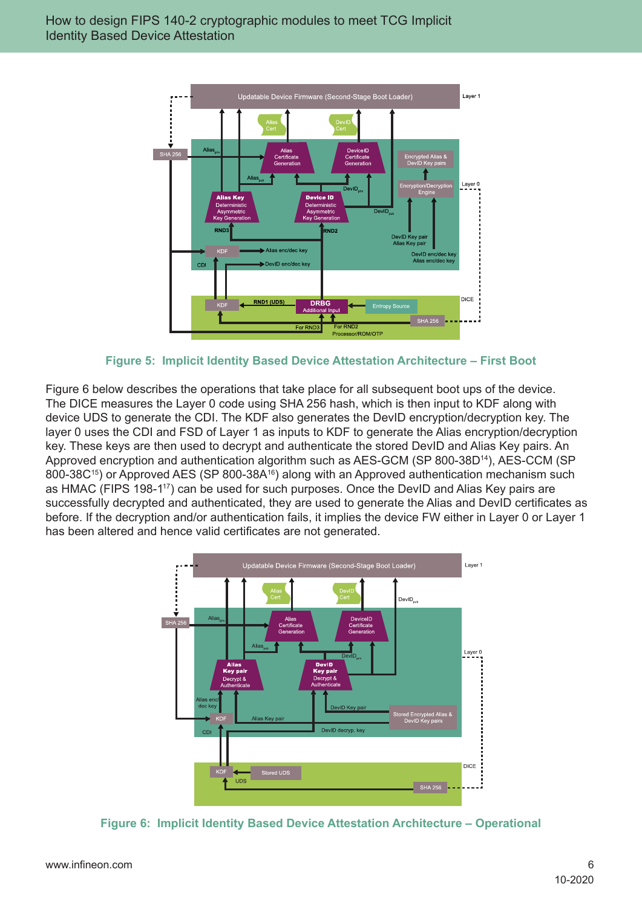

**Figure 5: Implicit Identity Based Device Attestation Architecture – First Boot**

Figure 6 below describes the operations that take place for all subsequent boot ups of the device. The DICE measures the Layer 0 code using SHA 256 hash, which is then input to KDF along with device UDS to generate the CDI. The KDF also generates the DevID encryption/decryption key. The layer 0 uses the CDI and FSD of Layer 1 as inputs to KDF to generate the Alias encryption/decryption key. These keys are then used to decrypt and authenticate the stored DevID and Alias Key pairs. An Approved encryption and authentication algorithm such as AES-GCM (SP 800-38D<sup>14</sup>), AES-CCM (SP 800-38C<sup>15</sup>) or Approved AES (SP 800-38A<sup>16</sup>) along with an Approved authentication mechanism such as HMAC (FIPS 198-1<sup>17</sup>) can be used for such purposes. Once the DevID and Alias Key pairs are successfully decrypted and authenticated, they are used to generate the Alias and DevID certificates as before. If the decryption and/or authentication fails, it implies the device FW either in Layer 0 or Layer 1 has been altered and hence valid certificates are not generated.



**Figure 6: Implicit Identity Based Device Attestation Architecture – Operational**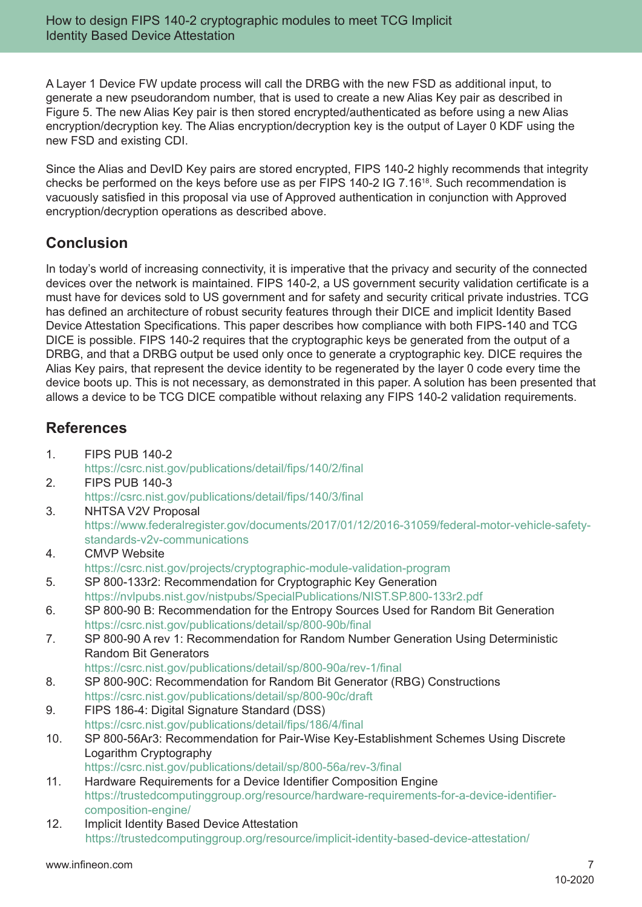A Layer 1 Device FW update process will call the DRBG with the new FSD as additional input, to generate a new pseudorandom number, that is used to create a new Alias Key pair as described in Figure 5. The new Alias Key pair is then stored encrypted/authenticated as before using a new Alias encryption/decryption key. The Alias encryption/decryption key is the output of Layer 0 KDF using the new FSD and existing CDI.

Since the Alias and DevID Key pairs are stored encrypted, FIPS 140-2 highly recommends that integrity checks be performed on the keys before use as per FIPS 140-2 IG 7.1618. Such recommendation is vacuously satisfied in this proposal via use of Approved authentication in conjunction with Approved encryption/decryption operations as described above.

### **Conclusion**

In today's world of increasing connectivity, it is imperative that the privacy and security of the connected devices over the network is maintained. FIPS 140-2, a US government security validation certificate is a must have for devices sold to US government and for safety and security critical private industries. TCG has defined an architecture of robust security features through their DICE and implicit Identity Based Device Attestation Specifications. This paper describes how compliance with both FIPS-140 and TCG DICE is possible. FIPS 140-2 requires that the cryptographic keys be generated from the output of a DRBG, and that a DRBG output be used only once to generate a cryptographic key. DICE requires the Alias Key pairs, that represent the device identity to be regenerated by the layer 0 code every time the device boots up. This is not necessary, as demonstrated in this paper. A solution has been presented that allows a device to be TCG DICE compatible without relaxing any FIPS 140-2 validation requirements.

# **References**

- 1. FIPS PUB 140-2 https://csrc.nist.gov/publications/detail/fips/140/2/final 2. FIPS PUB 140-3
	- https://csrc.nist.gov/publications/detail/fips/140/3/final
- 3. NHTSA V2V Proposal https://www.federalregister.gov/documents/2017/01/12/2016-31059/federal-motor-vehicle-safetystandards-v2v-communications
- 4. CMVP Website https://csrc.nist.gov/projects/cryptographic-module-validation-program
- 5. SP 800-133r2: Recommendation for Cryptographic Key Generation https://nvlpubs.nist.gov/nistpubs/SpecialPublications/NIST.SP.800-133r2.pdf
- 6. SP 800-90 B: Recommendation for the Entropy Sources Used for Random Bit Generation https://csrc.nist.gov/publications/detail/sp/800-90b/final
- 7. SP 800-90 A rev 1: Recommendation for Random Number Generation Using Deterministic Random Bit Generators

https://csrc.nist.gov/publications/detail/sp/800-90a/rev-1/final

- 8. SP 800-90C: Recommendation for Random Bit Generator (RBG) Constructions https://csrc.nist.gov/publications/detail/sp/800-90c/draft
- 9. FIPS 186-4: Digital Signature Standard (DSS) https://csrc.nist.gov/publications/detail/fips/186/4/final
- 10. SP 800-56Ar3: Recommendation for Pair-Wise Key-Establishment Schemes Using Discrete Logarithm Cryptography
- https://csrc.nist.gov/publications/detail/sp/800-56a/rev-3/final 11. Hardware Requirements for a Device Identifier Composition Engine
	- https://trustedcomputinggroup.org/resource/hardware-requirements-for-a-device-identifiercomposition-engine/
- 12. Implicit Identity Based Device Attestation https://trustedcomputinggroup.org/resource/implicit-identity-based-device-attestation/